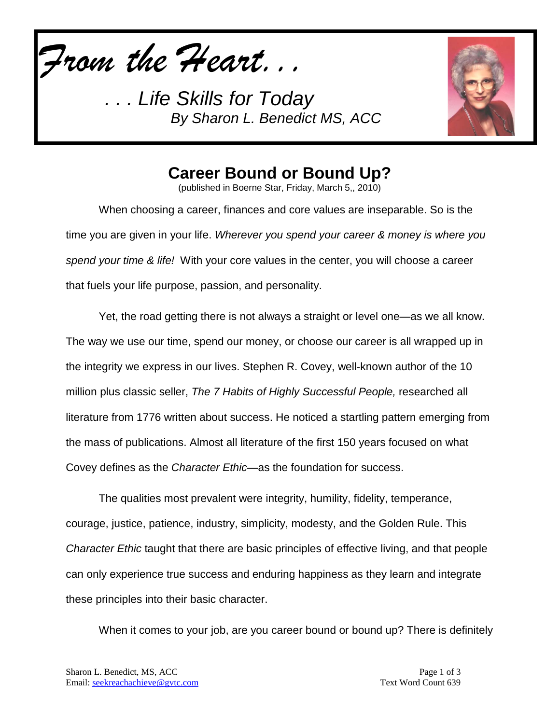*From the Heart...*

*. . . Life Skills for Today By Sharon L. Benedict MS, ACC*



## **Career Bound or Bound Up?**

(published in Boerne Star, Friday, March 5,, 2010)

When choosing a career, finances and core values are inseparable. So is the time you are given in your life. *Wherever you spend your career & money is where you spend your time & life!* With your core values in the center, you will choose a career that fuels your life purpose, passion, and personality.

Yet, the road getting there is not always a straight or level one—as we all know. The way we use our time, spend our money, or choose our career is all wrapped up in the integrity we express in our lives. Stephen R. Covey, well-known author of the 10 million plus classic seller, *The 7 Habits of Highly Successful People,* researched all literature from 1776 written about success. He noticed a startling pattern emerging from the mass of publications. Almost all literature of the first 150 years focused on what Covey defines as the *Character Ethic—*as the foundation for success.

The qualities most prevalent were integrity, humility, fidelity, temperance, courage, justice, patience, industry, simplicity, modesty, and the Golden Rule. This *Character Ethic* taught that there are basic principles of effective living, and that people can only experience true success and enduring happiness as they learn and integrate these principles into their basic character.

When it comes to your job, are you career bound or bound up? There is definitely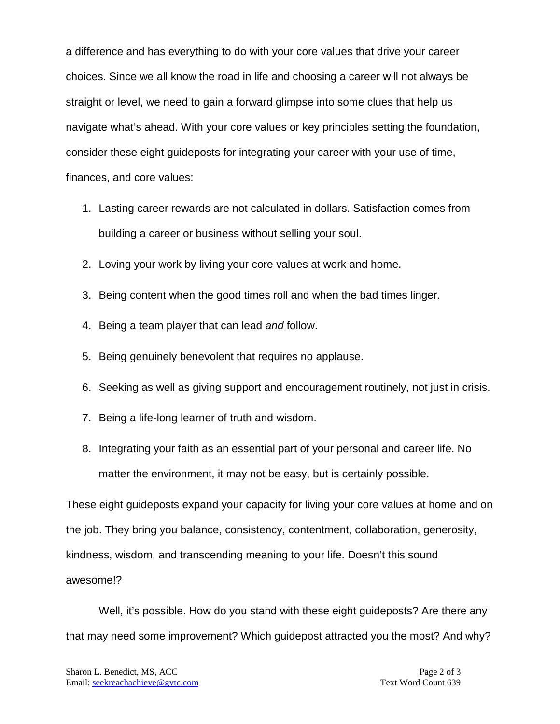a difference and has everything to do with your core values that drive your career choices. Since we all know the road in life and choosing a career will not always be straight or level, we need to gain a forward glimpse into some clues that help us navigate what's ahead. With your core values or key principles setting the foundation, consider these eight guideposts for integrating your career with your use of time, finances, and core values:

- 1. Lasting career rewards are not calculated in dollars. Satisfaction comes from building a career or business without selling your soul.
- 2. Loving your work by living your core values at work and home.
- 3. Being content when the good times roll and when the bad times linger.
- 4. Being a team player that can lead *and* follow.
- 5. Being genuinely benevolent that requires no applause.
- 6. Seeking as well as giving support and encouragement routinely, not just in crisis.
- 7. Being a life-long learner of truth and wisdom.
- 8. Integrating your faith as an essential part of your personal and career life. No matter the environment, it may not be easy, but is certainly possible.

These eight guideposts expand your capacity for living your core values at home and on the job. They bring you balance, consistency, contentment, collaboration, generosity, kindness, wisdom, and transcending meaning to your life. Doesn't this sound awesome!?

Well, it's possible. How do you stand with these eight guideposts? Are there any that may need some improvement? Which guidepost attracted you the most? And why?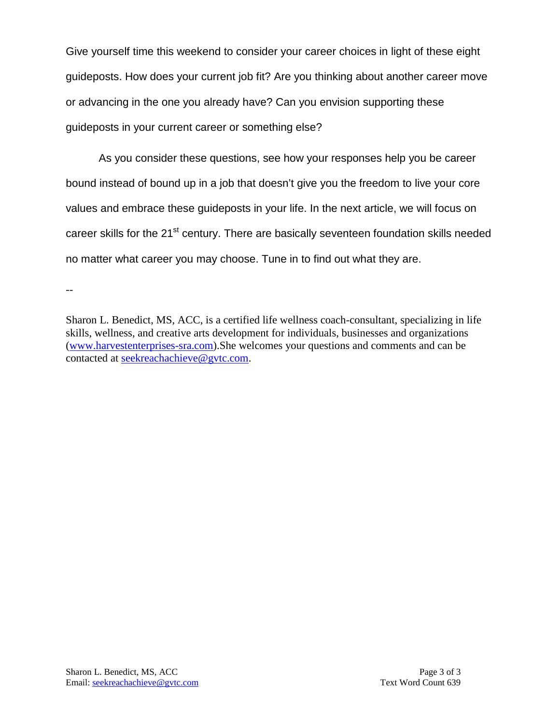Give yourself time this weekend to consider your career choices in light of these eight guideposts. How does your current job fit? Are you thinking about another career move or advancing in the one you already have? Can you envision supporting these guideposts in your current career or something else?

As you consider these questions, see how your responses help you be career bound instead of bound up in a job that doesn't give you the freedom to live your core values and embrace these guideposts in your life. In the next article, we will focus on career skills for the 21<sup>st</sup> century. There are basically seventeen foundation skills needed no matter what career you may choose. Tune in to find out what they are.

--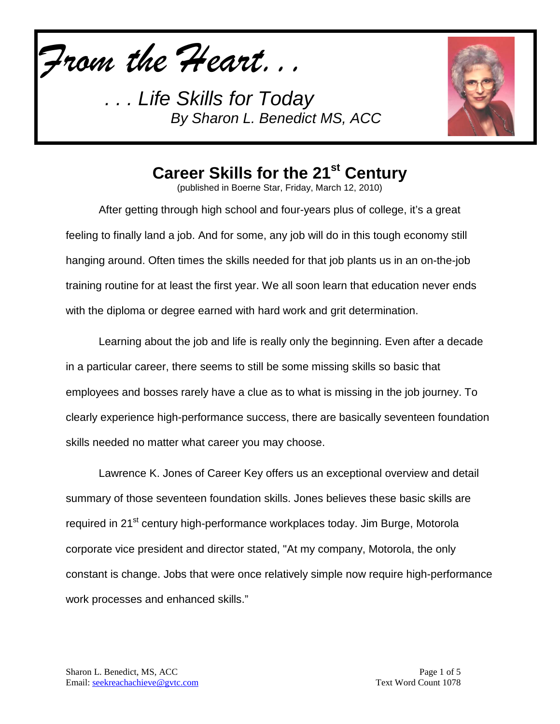*From the Heart...*

*. . . Life Skills for Today By Sharon L. Benedict MS, ACC*



## Career Skills for the 21<sup>st</sup> Century

(published in Boerne Star, Friday, March 12, 2010)

After getting through high school and four-years plus of college, it's a great feeling to finally land a job. And for some, any job will do in this tough economy still hanging around. Often times the skills needed for that job plants us in an on-the-job training routine for at least the first year. We all soon learn that education never ends with the diploma or degree earned with hard work and grit determination.

Learning about the job and life is really only the beginning. Even after a decade in a particular career, there seems to still be some missing skills so basic that employees and bosses rarely have a clue as to what is missing in the job journey. To clearly experience high-performance success, there are basically seventeen foundation skills needed no matter what career you may choose.

Lawrence K. Jones of Career Key offers us an exceptional overview and detail summary of those seventeen foundation skills. Jones believes these basic skills are required in 21<sup>st</sup> century high-performance workplaces today. Jim Burge, Motorola corporate vice president and director stated, "At my company, Motorola, the only constant is change. Jobs that were once relatively simple now require high-performance work processes and enhanced skills."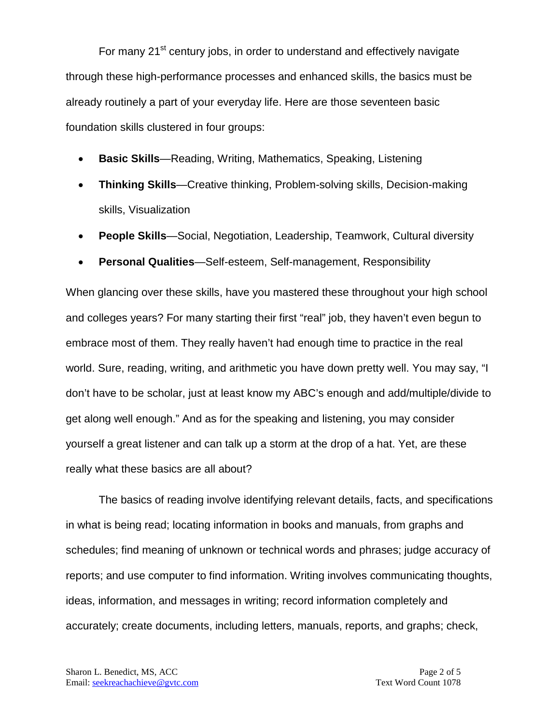For many 21<sup>st</sup> century jobs, in order to understand and effectively navigate through these high-performance processes and enhanced skills, the basics must be already routinely a part of your everyday life. Here are those seventeen basic foundation skills clustered in four groups:

- **Basic Skills**—Reading, Writing, Mathematics, Speaking, Listening
- **Thinking Skills**—Creative thinking, Problem-solving skills, Decision-making skills, Visualization
- **People Skills**—Social, Negotiation, Leadership, Teamwork, Cultural diversity
- **Personal Qualities**—Self-esteem, Self-management, Responsibility

When glancing over these skills, have you mastered these throughout your high school and colleges years? For many starting their first "real" job, they haven't even begun to embrace most of them. They really haven't had enough time to practice in the real world. Sure, reading, writing, and arithmetic you have down pretty well. You may say, "I don't have to be scholar, just at least know my ABC's enough and add/multiple/divide to get along well enough." And as for the speaking and listening, you may consider yourself a great listener and can talk up a storm at the drop of a hat. Yet, are these really what these basics are all about?

The basics of reading involve identifying relevant details, facts, and specifications in what is being read; locating information in books and manuals, from graphs and schedules; find meaning of unknown or technical words and phrases; judge accuracy of reports; and use computer to find information. Writing involves communicating thoughts, ideas, information, and messages in writing; record information completely and accurately; create documents, including letters, manuals, reports, and graphs; check,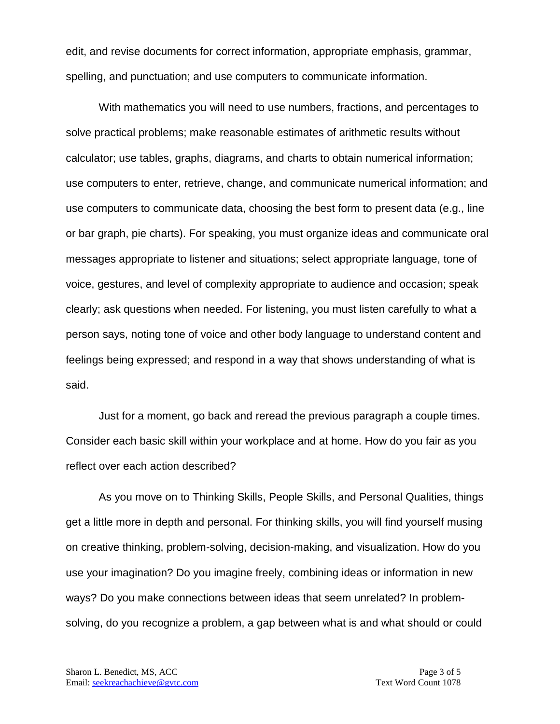edit, and revise documents for correct information, appropriate emphasis, grammar, spelling, and punctuation; and use computers to communicate information.

With mathematics you will need to use numbers, fractions, and percentages to solve practical problems; make reasonable estimates of arithmetic results without calculator; use tables, graphs, diagrams, and charts to obtain numerical information; use computers to enter, retrieve, change, and communicate numerical information; and use computers to communicate data, choosing the best form to present data (e.g., line or bar graph, pie charts). For speaking, you must organize ideas and communicate oral messages appropriate to listener and situations; select appropriate language, tone of voice, gestures, and level of complexity appropriate to audience and occasion; speak clearly; ask questions when needed. For listening, you must listen carefully to what a person says, noting tone of voice and other body language to understand content and feelings being expressed; and respond in a way that shows understanding of what is said.

Just for a moment, go back and reread the previous paragraph a couple times. Consider each basic skill within your workplace and at home. How do you fair as you reflect over each action described?

As you move on to Thinking Skills, People Skills, and Personal Qualities, things get a little more in depth and personal. For thinking skills, you will find yourself musing on creative thinking, problem-solving, decision-making, and visualization. How do you use your imagination? Do you imagine freely, combining ideas or information in new ways? Do you make connections between ideas that seem unrelated? In problemsolving, do you recognize a problem, a gap between what is and what should or could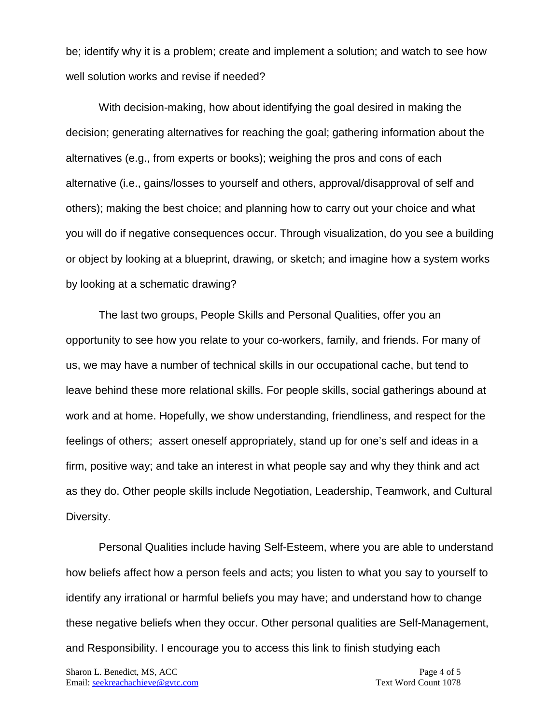be; identify why it is a problem; create and implement a solution; and watch to see how well solution works and revise if needed?

With decision-making, how about identifying the goal desired in making the decision; generating alternatives for reaching the goal; gathering information about the alternatives (e.g., from experts or books); weighing the pros and cons of each alternative (i.e., gains/losses to yourself and others, approval/disapproval of self and others); making the best choice; and planning how to carry out your choice and what you will do if negative consequences occur. Through visualization, do you see a building or object by looking at a blueprint, drawing, or sketch; and imagine how a system works by looking at a schematic drawing?

The last two groups, People Skills and Personal Qualities, offer you an opportunity to see how you relate to your co-workers, family, and friends. For many of us, we may have a number of technical skills in our occupational cache, but tend to leave behind these more relational skills. For people skills, social gatherings abound at work and at home. Hopefully, we show understanding, friendliness, and respect for the feelings of others; assert oneself appropriately, stand up for one's self and ideas in a firm, positive way; and take an interest in what people say and why they think and act as they do. Other people skills include Negotiation, Leadership, Teamwork, and Cultural Diversity.

Personal Qualities include having Self-Esteem, where you are able to understand how beliefs affect how a person feels and acts; you listen to what you say to yourself to identify any irrational or harmful beliefs you may have; and understand how to change these negative beliefs when they occur. Other personal qualities are Self-Management, and Responsibility. I encourage you to access this link to finish studying each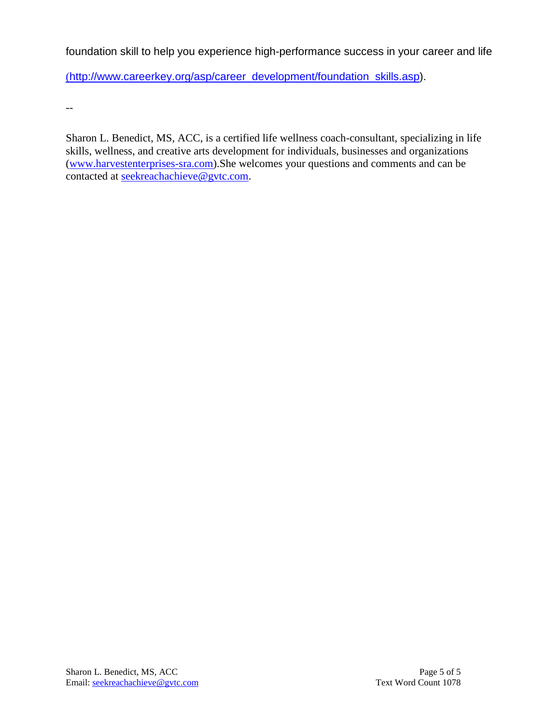foundation skill to help you experience high-performance success in your career and life

(http://www.careerkey.org/asp/career\_development/foundation\_skills.asp).

--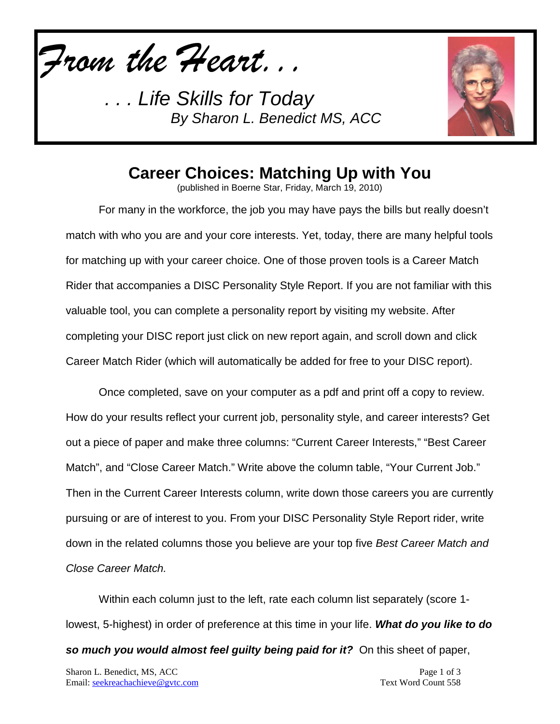*From the Heart...*

*. . . Life Skills for Today By Sharon L. Benedict MS, ACC*



## **Career Choices: Matching Up with You**

(published in Boerne Star, Friday, March 19, 2010)

For many in the workforce, the job you may have pays the bills but really doesn't match with who you are and your core interests. Yet, today, there are many helpful tools for matching up with your career choice. One of those proven tools is a Career Match Rider that accompanies a DISC Personality Style Report. If you are not familiar with this valuable tool, you can complete a personality report by visiting my website. After completing your DISC report just click on new report again, and scroll down and click Career Match Rider (which will automatically be added for free to your DISC report).

Once completed, save on your computer as a pdf and print off a copy to review. How do your results reflect your current job, personality style, and career interests? Get out a piece of paper and make three columns: "Current Career Interests," "Best Career Match", and "Close Career Match." Write above the column table, "Your Current Job." Then in the Current Career Interests column, write down those careers you are currently pursuing or are of interest to you. From your DISC Personality Style Report rider, write down in the related columns those you believe are your top five *Best Career Match and Close Career Match.*

Within each column just to the left, rate each column list separately (score 1 lowest, 5-highest) in order of preference at this time in your life. *What do you like to do* 

*so much you would almost feel guilty being paid for it?* On this sheet of paper,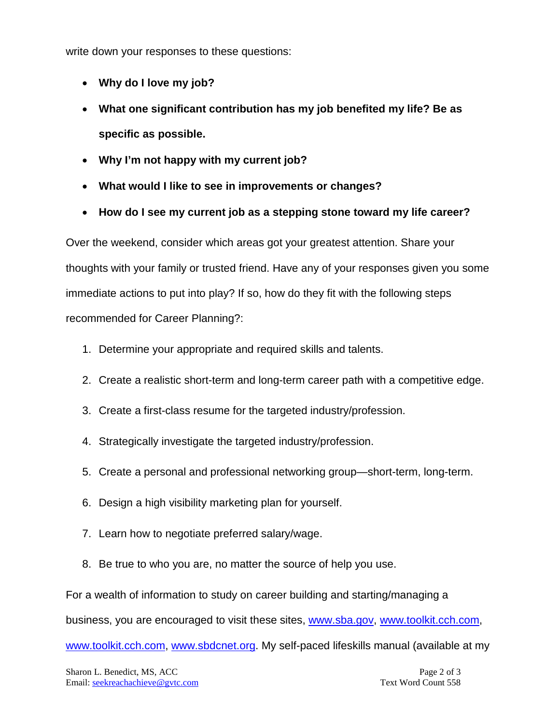write down your responses to these questions:

- **Why do I love my job?**
- **What one significant contribution has my job benefited my life? Be as specific as possible.**
- **Why I'm not happy with my current job?**
- **What would I like to see in improvements or changes?**
- **How do I see my current job as a stepping stone toward my life career?**

Over the weekend, consider which areas got your greatest attention. Share your thoughts with your family or trusted friend. Have any of your responses given you some immediate actions to put into play? If so, how do they fit with the following steps recommended for Career Planning?:

- 1. Determine your appropriate and required skills and talents.
- 2. Create a realistic short-term and long-term career path with a competitive edge.
- 3. Create a first-class resume for the targeted industry/profession.
- 4. Strategically investigate the targeted industry/profession.
- 5. Create a personal and professional networking group—short-term, long-term.
- 6. Design a high visibility marketing plan for yourself.
- 7. Learn how to negotiate preferred salary/wage.
- 8. Be true to who you are, no matter the source of help you use.

For a wealth of information to study on career building and starting/managing a

business, you are encouraged to visit these sites, [www.sba.gov,](http://www.sba.gov/) [www.toolkit.cch.com,](http://www.toolkit.cch.com/)

[www.toolkit.cch.com,](http://www.toolkit.cch.com/) [www.sbdcnet.org.](http://www.sbdcnet.org/) My self-paced lifeskills manual (available at my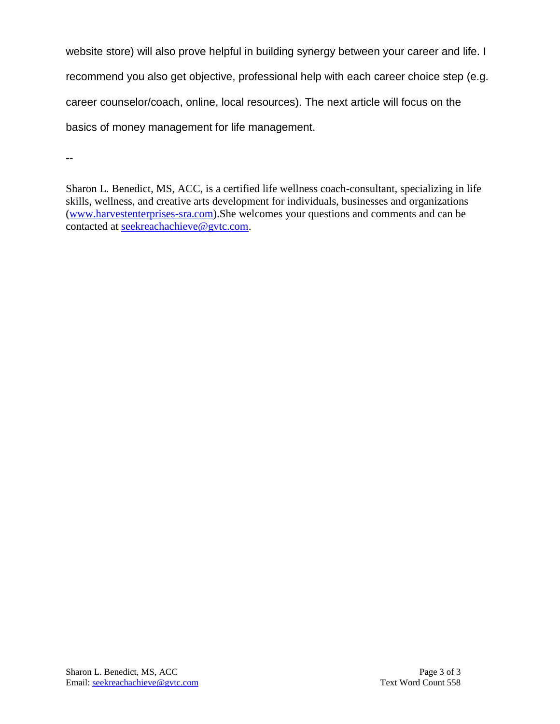website store) will also prove helpful in building synergy between your career and life. I recommend you also get objective, professional help with each career choice step (e.g. career counselor/coach, online, local resources). The next article will focus on the basics of money management for life management.

--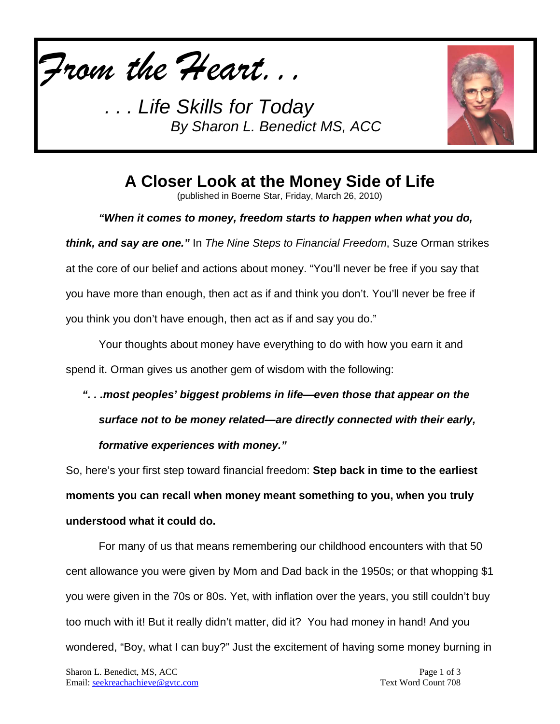

**Life Skills for Today** *By Sharon L. Benedict MS, ACC*



**A Closer Look at the Money Side of Life**

(published in Boerne Star, Friday, March 26, 2010)

*"When it comes to money, freedom starts to happen when what you do,* 

*think, and say are one."* In *The Nine Steps to Financial Freedom*, Suze Orman strikes at the core of our belief and actions about money. "You'll never be free if you say that you have more than enough, then act as if and think you don't. You'll never be free if you think you don't have enough, then act as if and say you do."

Your thoughts about money have everything to do with how you earn it and spend it. Orman gives us another gem of wisdom with the following:

*". . .most peoples' biggest problems in life—even those that appear on the surface not to be money related—are directly connected with their early, formative experiences with money."*

So, here's your first step toward financial freedom: **Step back in time to the earliest moments you can recall when money meant something to you, when you truly understood what it could do.**

For many of us that means remembering our childhood encounters with that 50 cent allowance you were given by Mom and Dad back in the 1950s; or that whopping \$1 you were given in the 70s or 80s. Yet, with inflation over the years, you still couldn't buy too much with it! But it really didn't matter, did it? You had money in hand! And you wondered, "Boy, what I can buy?" Just the excitement of having some money burning in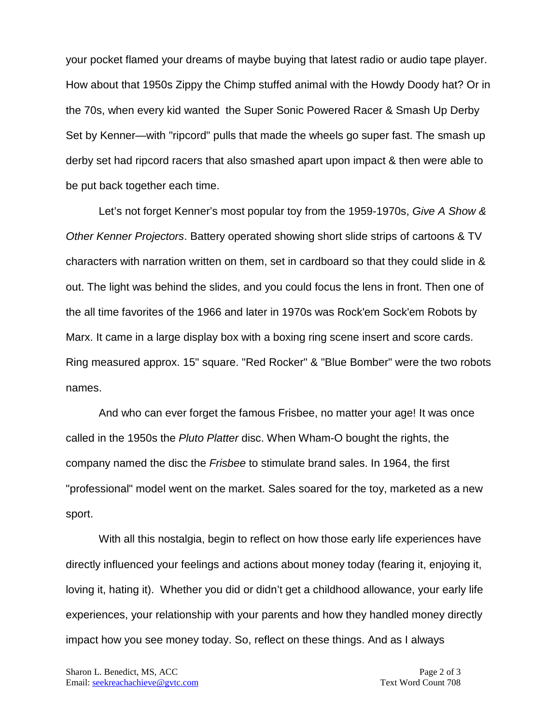your pocket flamed your dreams of maybe buying that latest radio or audio tape player. How about that 1950s Zippy the Chimp stuffed animal with the Howdy Doody hat? Or in the 70s, when every kid wanted the Super Sonic Powered Racer & Smash Up Derby Set by Kenner—with "ripcord" pulls that made the wheels go super fast. The smash up derby set had ripcord racers that also smashed apart upon impact & then were able to be put back together each time.

Let's not forget Kenner's most popular toy from the 1959-1970s, *Give A Show & Other Kenner Projectors*. Battery operated showing short slide strips of cartoons & TV characters with narration written on them, set in cardboard so that they could slide in & out. The light was behind the slides, and you could focus the lens in front. Then one of the all time favorites of the 1966 and later in 1970s was Rock'em Sock'em Robots by Marx. It came in a large display box with a boxing ring scene insert and score cards. Ring measured approx. 15" square. "Red Rocker" & "Blue Bomber" were the two robots names.

And who can ever forget the famous Frisbee, no matter your age! It was once called in the 1950s the *Pluto Platter* disc. When Wham-O bought the rights, the company named the disc the *Frisbee* to stimulate brand sales. In 1964, the first "professional" model went on the market. Sales soared for the toy, marketed as a new sport.

With all this nostalgia, begin to reflect on how those early life experiences have directly influenced your feelings and actions about money today (fearing it, enjoying it, loving it, hating it). Whether you did or didn't get a childhood allowance, your early life experiences, your relationship with your parents and how they handled money directly impact how you see money today. So, reflect on these things. And as I always